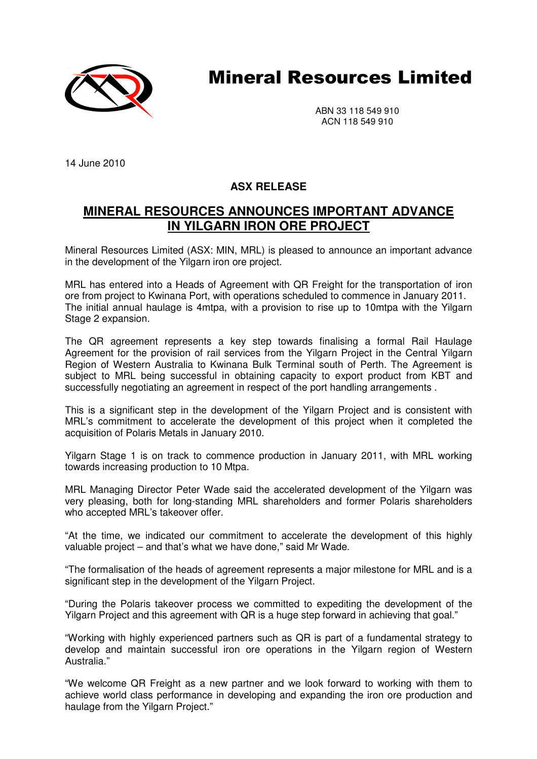

# Mineral Resources Limited

ABN 33 118 549 910 ACN 118 549 910

14 June 2010

## **ASX RELEASE**

## **MINERAL RESOURCES ANNOUNCES IMPORTANT ADVANCE IN YILGARN IRON ORE PROJECT**

Mineral Resources Limited (ASX: MIN, MRL) is pleased to announce an important advance in the development of the Yilgarn iron ore project.

MRL has entered into a Heads of Agreement with QR Freight for the transportation of iron ore from project to Kwinana Port, with operations scheduled to commence in January 2011. The initial annual haulage is 4mtpa, with a provision to rise up to 10mtpa with the Yilgarn Stage 2 expansion.

The QR agreement represents a key step towards finalising a formal Rail Haulage Agreement for the provision of rail services from the Yilgarn Project in the Central Yilgarn Region of Western Australia to Kwinana Bulk Terminal south of Perth. The Agreement is subject to MRL being successful in obtaining capacity to export product from KBT and successfully negotiating an agreement in respect of the port handling arrangements .

This is a significant step in the development of the Yilgarn Project and is consistent with MRL's commitment to accelerate the development of this project when it completed the acquisition of Polaris Metals in January 2010.

Yilgarn Stage 1 is on track to commence production in January 2011, with MRL working towards increasing production to 10 Mtpa.

MRL Managing Director Peter Wade said the accelerated development of the Yilgarn was very pleasing, both for long-standing MRL shareholders and former Polaris shareholders who accepted MRL's takeover offer.

"At the time, we indicated our commitment to accelerate the development of this highly valuable project – and that's what we have done," said Mr Wade.

"The formalisation of the heads of agreement represents a major milestone for MRL and is a significant step in the development of the Yilgarn Project.

"During the Polaris takeover process we committed to expediting the development of the Yilgarn Project and this agreement with QR is a huge step forward in achieving that goal."

"Working with highly experienced partners such as QR is part of a fundamental strategy to develop and maintain successful iron ore operations in the Yilgarn region of Western Australia."

"We welcome QR Freight as a new partner and we look forward to working with them to achieve world class performance in developing and expanding the iron ore production and haulage from the Yilgarn Project."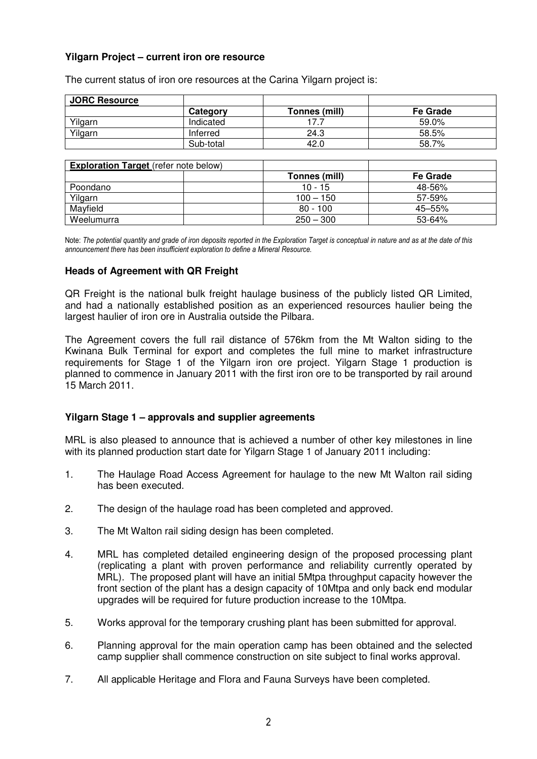### **Yilgarn Project – current iron ore resource**

| <b>JORC Resource</b> |           |               |          |
|----------------------|-----------|---------------|----------|
|                      | Category  | Tonnes (mill) | Fe Grade |
| Yilgarn              | Indicated |               | 59.0%    |
| Yilgarn              | Inferred  | 24.3          | 58.5%    |
|                      | Sub-total | 42.0          | 58.7%    |

The current status of iron ore resources at the Carina Yilgarn project is:

| <b>Exploration Target</b> (refer note below) |               |                 |  |  |
|----------------------------------------------|---------------|-----------------|--|--|
|                                              | Tonnes (mill) | <b>Fe Grade</b> |  |  |
| Poondano                                     | $10 - 15$     | 48-56%          |  |  |
| Yilgarn                                      | $100 - 150$   | $57 - 59%$      |  |  |
| Mayfield                                     | $80 - 100$    | 45-55%          |  |  |
| Weelumurra                                   | $250 - 300$   | 53-64%          |  |  |

Note: The potential quantity and grade of iron deposits reported in the Exploration Target is conceptual in nature and as at the date of this announcement there has been insufficient exploration to define a Mineral Resource.

#### **Heads of Agreement with QR Freight**

QR Freight is the national bulk freight haulage business of the publicly listed QR Limited, and had a nationally established position as an experienced resources haulier being the largest haulier of iron ore in Australia outside the Pilbara.

The Agreement covers the full rail distance of 576km from the Mt Walton siding to the Kwinana Bulk Terminal for export and completes the full mine to market infrastructure requirements for Stage 1 of the Yilgarn iron ore project. Yilgarn Stage 1 production is planned to commence in January 2011 with the first iron ore to be transported by rail around 15 March 2011.

#### **Yilgarn Stage 1 – approvals and supplier agreements**

MRL is also pleased to announce that is achieved a number of other key milestones in line with its planned production start date for Yilgarn Stage 1 of January 2011 including:

- 1. The Haulage Road Access Agreement for haulage to the new Mt Walton rail siding has been executed.
- 2. The design of the haulage road has been completed and approved.
- 3. The Mt Walton rail siding design has been completed.
- 4. MRL has completed detailed engineering design of the proposed processing plant (replicating a plant with proven performance and reliability currently operated by MRL). The proposed plant will have an initial 5Mtpa throughput capacity however the front section of the plant has a design capacity of 10Mtpa and only back end modular upgrades will be required for future production increase to the 10Mtpa.
- 5. Works approval for the temporary crushing plant has been submitted for approval.
- 6. Planning approval for the main operation camp has been obtained and the selected camp supplier shall commence construction on site subject to final works approval.
- 7. All applicable Heritage and Flora and Fauna Surveys have been completed.